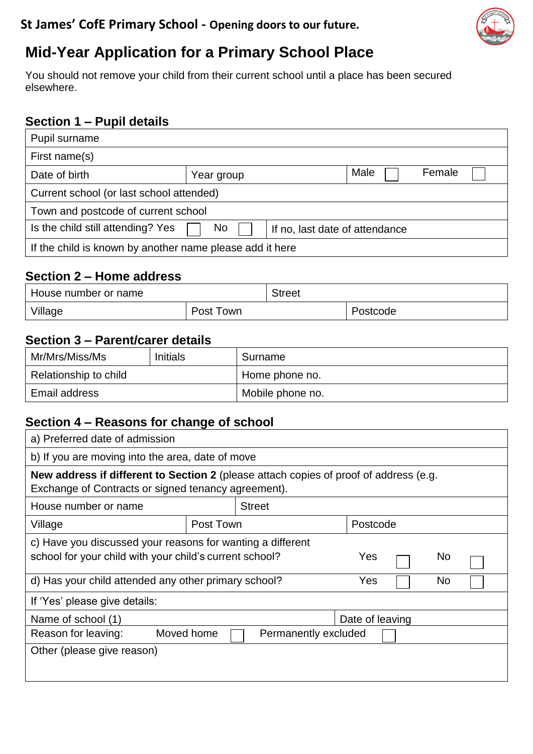

# **Mid-Year Application for a Primary School Place**

You should not remove your child from their current school until a place has been secured elsewhere.

#### **Section 1 – Pupil details**

| Pupil surname                                            |            |                                |      |        |  |
|----------------------------------------------------------|------------|--------------------------------|------|--------|--|
| First name(s)                                            |            |                                |      |        |  |
| Date of birth                                            | Year group |                                | Male | Female |  |
| Current school (or last school attended)                 |            |                                |      |        |  |
| Town and postcode of current school                      |            |                                |      |        |  |
| Is the child still attending? Yes                        | No         | If no, last date of attendance |      |        |  |
| If the child is known by another name please add it here |            |                                |      |        |  |

#### **Section 2 – Home address**

| House number or name |           | <b>Street</b> |          |  |
|----------------------|-----------|---------------|----------|--|
| Village              | Post Town |               | Postcode |  |

### **Section 3 – Parent/carer details**

| Mr/Mrs/Miss/Ms        | <b>Initials</b> | Surname          |
|-----------------------|-----------------|------------------|
| Relationship to child |                 | Home phone no.   |
| Email address         |                 | Mobile phone no. |

### **Section 4 – Reasons for change of school**

| a) Preferred date of admission                                                                                                               |                                                  |               |          |  |  |  |
|----------------------------------------------------------------------------------------------------------------------------------------------|--------------------------------------------------|---------------|----------|--|--|--|
|                                                                                                                                              | b) If you are moving into the area, date of move |               |          |  |  |  |
| New address if different to Section 2 (please attach copies of proof of address (e.g.<br>Exchange of Contracts or signed tenancy agreement). |                                                  |               |          |  |  |  |
| House number or name                                                                                                                         |                                                  | <b>Street</b> |          |  |  |  |
| Village                                                                                                                                      | Post Town                                        |               | Postcode |  |  |  |
| c) Have you discussed your reasons for wanting a different<br>school for your child with your child's current school?<br>Yes<br>No           |                                                  |               |          |  |  |  |
| d) Has your child attended any other primary school?<br>Yes<br>No                                                                            |                                                  |               |          |  |  |  |
| If 'Yes' please give details:                                                                                                                |                                                  |               |          |  |  |  |
| Name of school (1)<br>Date of leaving                                                                                                        |                                                  |               |          |  |  |  |
| Moved home<br>Reason for leaving:<br>Permanently excluded                                                                                    |                                                  |               |          |  |  |  |
| Other (please give reason)                                                                                                                   |                                                  |               |          |  |  |  |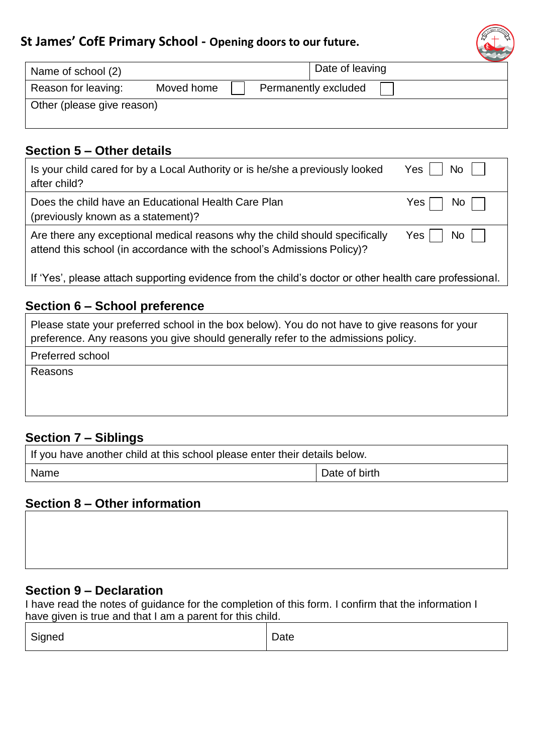### **St James' CofE Primary School - Opening doors to our future.**

| $t_{\rm G}$ |
|-------------|
|             |
|             |

| Name of school (2)         |            |  | Date of leaving      |  |
|----------------------------|------------|--|----------------------|--|
| Reason for leaving:        | Moved home |  | Permanently excluded |  |
| Other (please give reason) |            |  |                      |  |

#### **Section 5 – Other details**

| Is your child cared for by a Local Authority or is he/she a previously looked                          | $No$ $\vert$ $\vert$ |  |  |
|--------------------------------------------------------------------------------------------------------|----------------------|--|--|
| after child?                                                                                           | Yes                  |  |  |
| Does the child have an Educational Health Care Plan                                                    | $No$                 |  |  |
| (previously known as a statement)?                                                                     | Yes I                |  |  |
| Are there any exceptional medical reasons why the child should specifically                            | $No$ $\vert$         |  |  |
| attend this school (in accordance with the school's Admissions Policy)?                                | Yes I                |  |  |
| If 'Yes', please attach supporting evidence from the child's doctor or other health care professional. |                      |  |  |

#### **Section 6 – School preference**

Please state your preferred school in the box below). You do not have to give reasons for your preference. Any reasons you give should generally refer to the admissions policy.

Preferred school

Reasons

#### **Section 7 – Siblings**

| If you have another child at this school please enter their details below. |               |  |  |
|----------------------------------------------------------------------------|---------------|--|--|
| Name                                                                       | Date of birth |  |  |

#### **Section 8 – Other information**

#### **Section 9 – Declaration**

I have read the notes of guidance for the completion of this form. I confirm that the information I have given is true and that I am a parent for this child.

| $\sim$ | -    |
|--------|------|
| Signed | Dale |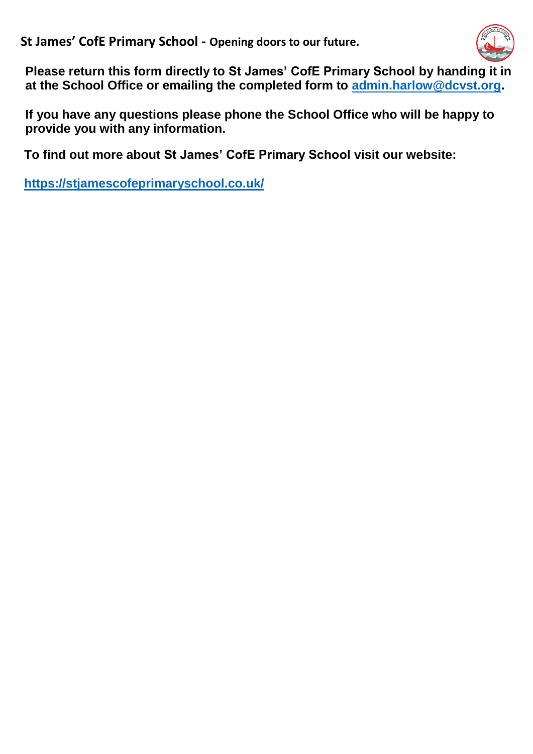**St James' CofE Primary School - Opening doors to our future.**



**Please return this form directly to St James' CofE Primary School by handing it in at the School Office or emailing the completed form to [admin.harlow@dcvst.org.](mailto:admin.harlow@dcvst.org)** 

**If you have any questions please phone the School Office who will be happy to provide you with any information.**

**To find out more about St James' CofE Primary School visit our website:**

**<https://stjamescofeprimaryschool.co.uk/>**